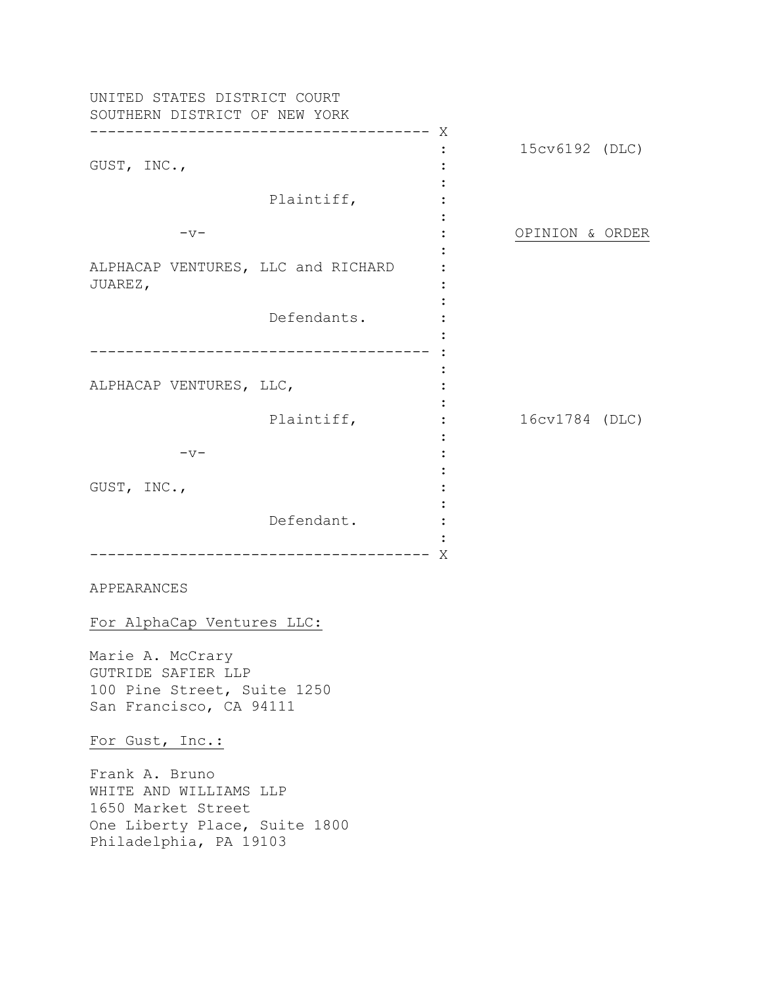UNITED STATES DISTRICT COURT SOUTHERN DISTRICT OF NEW YORK -------------------------------------- X GUST, INC., Plaintiff,  $-v-$ ALPHACAP VENTURES, LLC and RICHARD JUAREZ, Defendants. -------------------------------------- : ALPHACAP VENTURES, LLC, Plaintiff,  $-v-$ GUST, INC., Defendant. -------------------------------------- X : : : : : : : : : : : : : : :  $\cdot$  : : : : : : : : 15cv6192 (DLC) OPINION & ORDER 16cv1784 (DLC)

APPEARANCES

For AlphaCap Ventures LLC:

Marie A. McCrary GUTRIDE SAFIER LLP 100 Pine Street, Suite 1250 San Francisco, CA 94111

For Gust, Inc.:

Frank A. Bruno WHITE AND WILLIAMS LLP 1650 Market Street One Liberty Place, Suite 1800 Philadelphia, PA 19103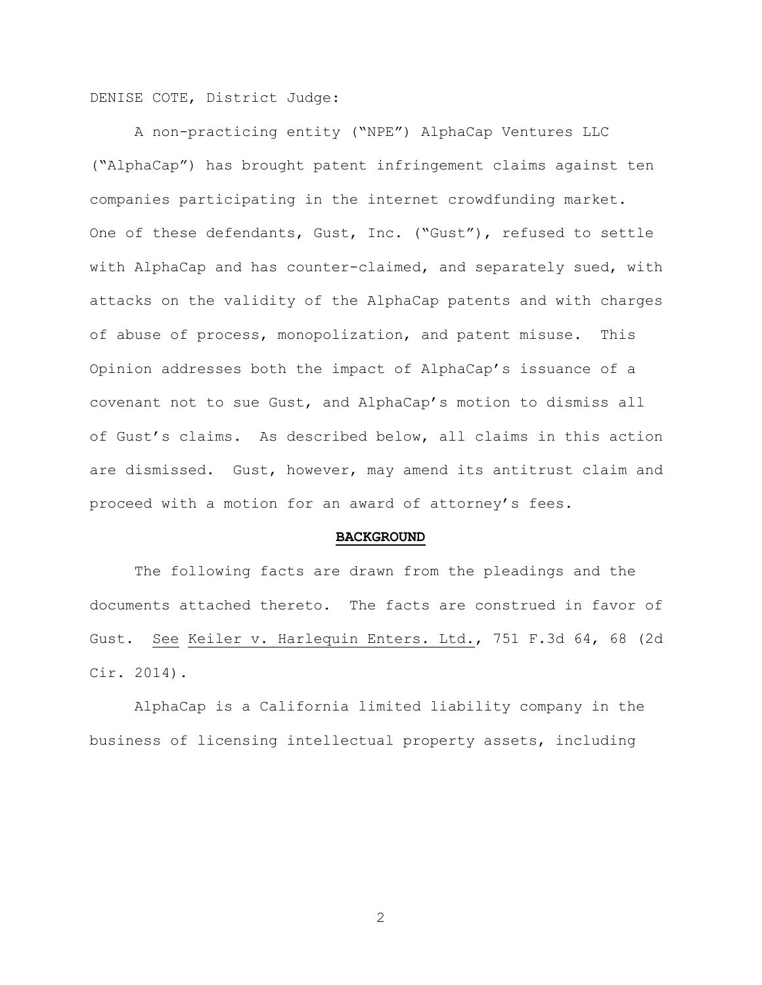DENISE COTE, District Judge:

 A non-practicing entity ("NPE") AlphaCap Ventures LLC ("AlphaCap") has brought patent infringement claims against ten companies participating in the internet crowdfunding market. One of these defendants, Gust, Inc. ("Gust"), refused to settle with AlphaCap and has counter-claimed, and separately sued, with attacks on the validity of the AlphaCap patents and with charges of abuse of process, monopolization, and patent misuse. This Opinion addresses both the impact of AlphaCap's issuance of a covenant not to sue Gust, and AlphaCap's motion to dismiss all of Gust's claims. As described below, all claims in this action are dismissed. Gust, however, may amend its antitrust claim and proceed with a motion for an award of attorney's fees.

#### **BACKGROUND**

The following facts are drawn from the pleadings and the documents attached thereto. The facts are construed in favor of Gust. See Keiler v. Harlequin Enters. Ltd., 751 F.3d 64, 68 (2d Cir. 2014).

AlphaCap is a California limited liability company in the business of licensing intellectual property assets, including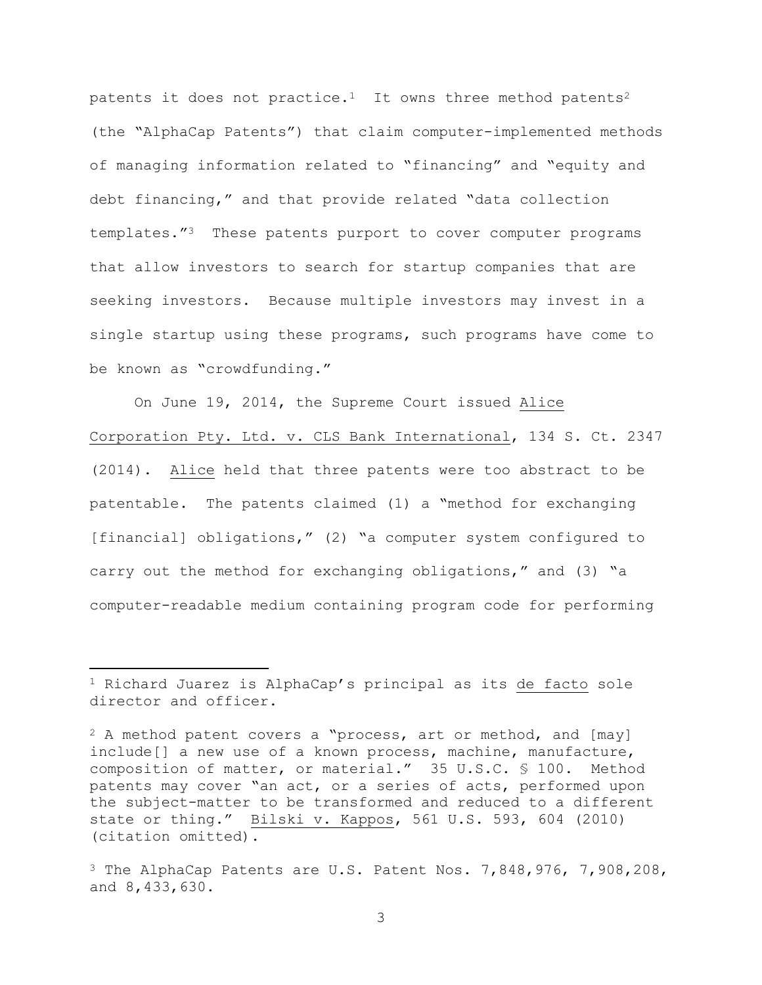patents it does not practice.<sup>1</sup> It owns three method patents<sup>2</sup> (the "AlphaCap Patents") that claim computer-implemented methods of managing information related to "financing" and "equity and debt financing," and that provide related "data collection templates."<sup>3</sup> These patents purport to cover computer programs that allow investors to search for startup companies that are seeking investors.Because multiple investors may invest in a single startup using these programs, such programs have come to be known as "crowdfunding."

On June 19, 2014, the Supreme Court issued Alice Corporation Pty. Ltd. v. CLS Bank International, 134 S. Ct. 2347 (2014). Alice held that three patents were too abstract to be patentable. The patents claimed (1) a "method for exchanging [financial] obligations," (2) "a computer system configured to carry out the method for exchanging obligations," and (3) "a computer-readable medium containing program code for performing

 $\overline{a}$ 

<sup>&</sup>lt;sup>1</sup> Richard Juarez is AlphaCap's principal as its de facto sole director and officer.

 $2$  A method patent covers a "process, art or method, and [may] include[] a new use of a known process, machine, manufacture, composition of matter, or material." 35 U.S.C. § 100. Method patents may cover "an act, or a series of acts, performed upon the subject-matter to be transformed and reduced to a different state or thing." Bilski v. Kappos, 561 U.S. 593, 604 (2010) (citation omitted).

 $3$  The AlphaCap Patents are U.S. Patent Nos. 7,848,976, 7,908,208, and 8,433,630.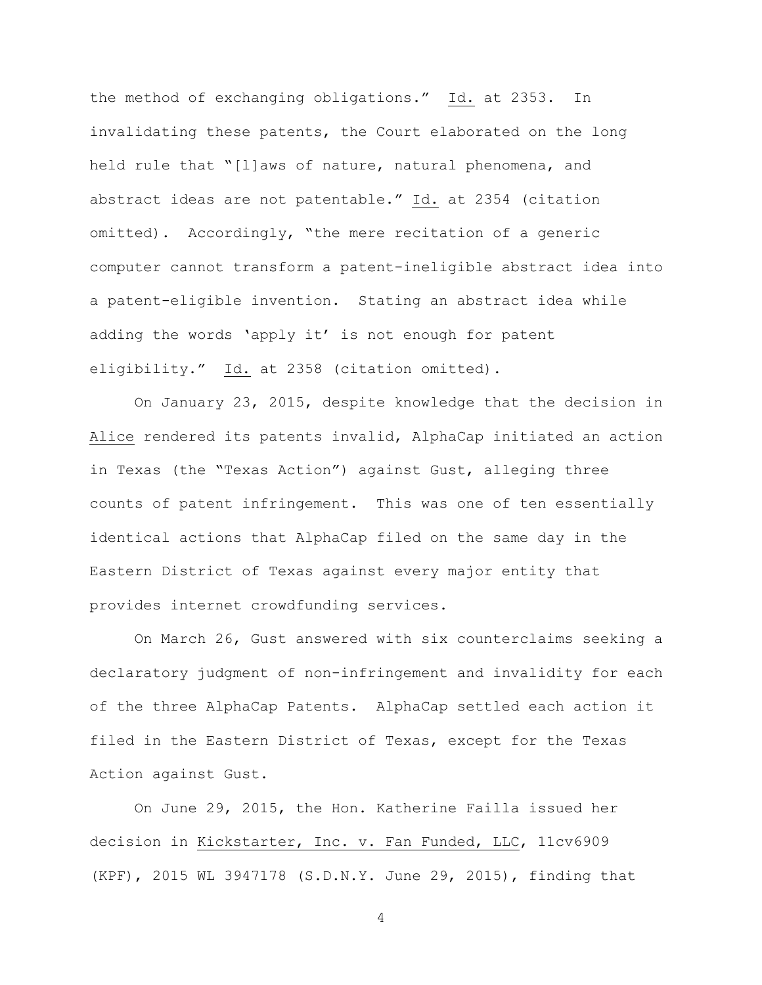the method of exchanging obligations." Id. at 2353. In invalidating these patents, the Court elaborated on the long held rule that "[l]aws of nature, natural phenomena, and abstract ideas are not patentable." Id. at 2354 (citation omitted). Accordingly, "the mere recitation of a generic computer cannot transform a patent-ineligible abstract idea into a patent-eligible invention. Stating an abstract idea while adding the words 'apply it' is not enough for patent eligibility." Id. at 2358 (citation omitted).

On January 23, 2015, despite knowledge that the decision in Alice rendered its patents invalid, AlphaCap initiated an action in Texas (the "Texas Action") against Gust, alleging three counts of patent infringement. This was one of ten essentially identical actions that AlphaCap filed on the same day in the Eastern District of Texas against every major entity that provides internet crowdfunding services.

On March 26, Gust answered with six counterclaims seeking a declaratory judgment of non-infringement and invalidity for each of the three AlphaCap Patents. AlphaCap settled each action it filed in the Eastern District of Texas, except for the Texas Action against Gust.

On June 29, 2015, the Hon. Katherine Failla issued her decision in Kickstarter, Inc. v. Fan Funded, LLC, 11cv6909 (KPF), 2015 WL 3947178 (S.D.N.Y. June 29, 2015), finding that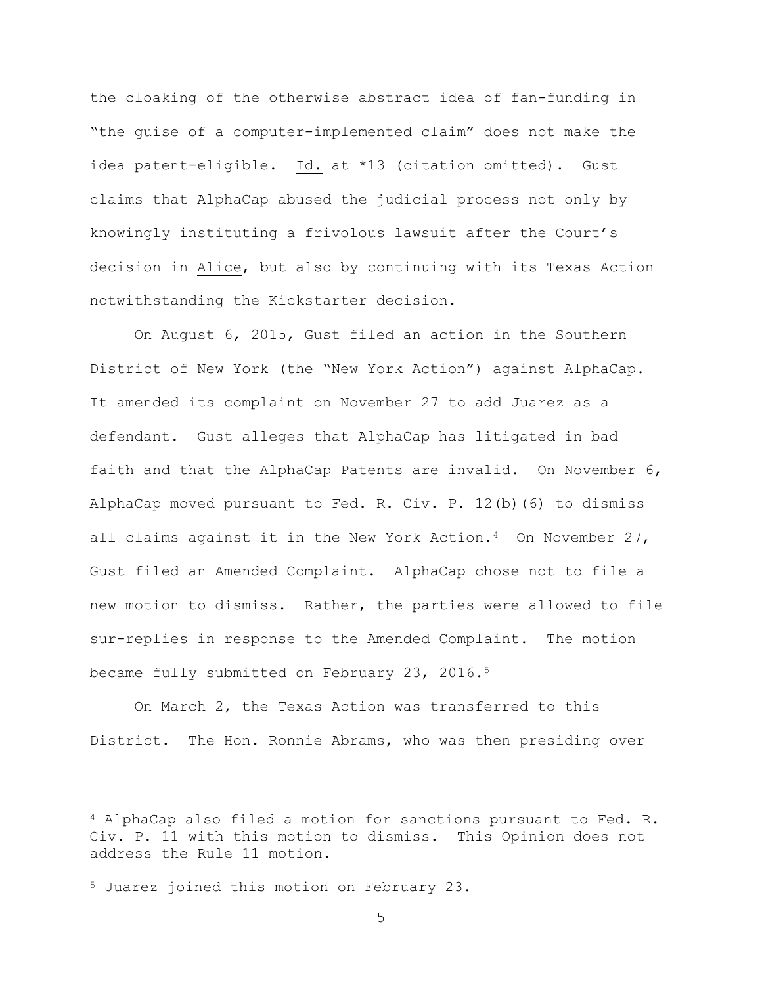the cloaking of the otherwise abstract idea of fan-funding in "the guise of a computer-implemented claim" does not make the idea patent-eligible. Id. at \*13 (citation omitted). Gust claims that AlphaCap abused the judicial process not only by knowingly instituting a frivolous lawsuit after the Court's decision in Alice, but also by continuing with its Texas Action notwithstanding the Kickstarter decision.

On August 6, 2015, Gust filed an action in the Southern District of New York (the "New York Action") against AlphaCap. It amended its complaint on November 27 to add Juarez as a defendant. Gust alleges that AlphaCap has litigated in bad faith and that the AlphaCap Patents are invalid. On November 6, AlphaCap moved pursuant to Fed. R. Civ. P. 12(b)(6) to dismiss all claims against it in the New York Action.<sup>4</sup> On November 27, Gust filed an Amended Complaint. AlphaCap chose not to file a new motion to dismiss. Rather, the parties were allowed to file sur-replies in response to the Amended Complaint. The motion became fully submitted on February 23, 2016.<sup>5</sup>

On March 2, the Texas Action was transferred to this District. The Hon. Ronnie Abrams, who was then presiding over

 $\overline{a}$ 

<sup>4</sup> AlphaCap also filed a motion for sanctions pursuant to Fed. R. Civ. P. 11 with this motion to dismiss. This Opinion does not address the Rule 11 motion.

<sup>5</sup> Juarez joined this motion on February 23.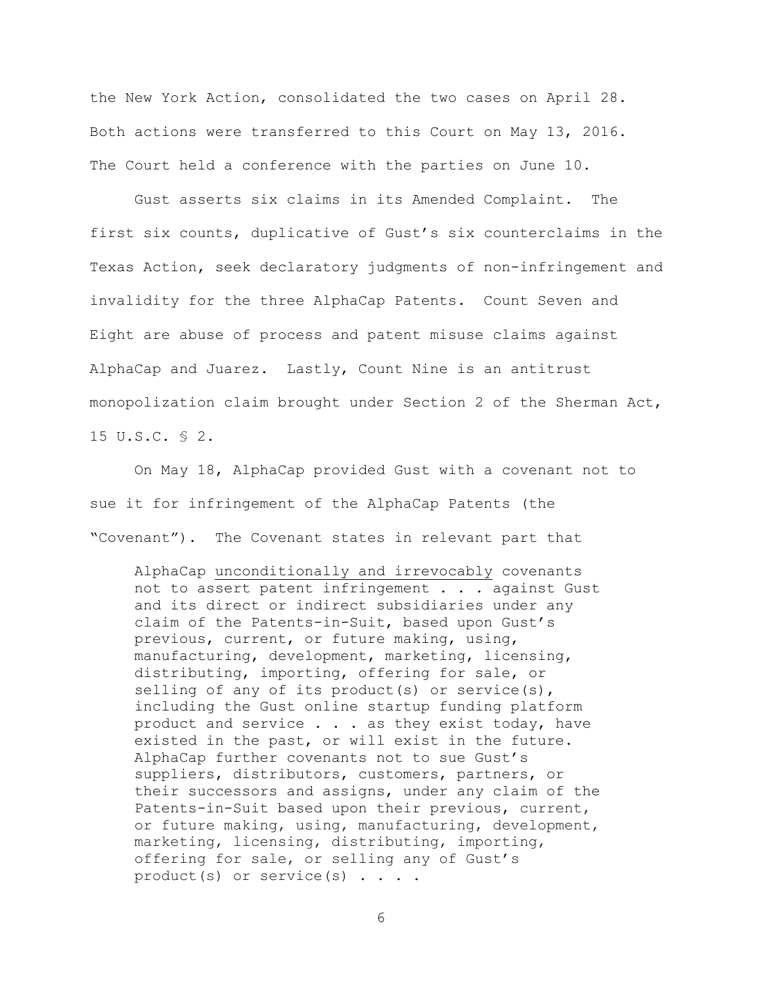the New York Action, consolidated the two cases on April 28. Both actions were transferred to this Court on May 13, 2016. The Court held a conference with the parties on June 10.

 Gust asserts six claims in its Amended Complaint. The first six counts, duplicative of Gust's six counterclaims in the Texas Action, seek declaratory judgments of non-infringement and invalidity for the three AlphaCap Patents. Count Seven and Eight are abuse of process and patent misuse claims against AlphaCap and Juarez. Lastly, Count Nine is an antitrust monopolization claim brought under Section 2 of the Sherman Act, 15 U.S.C. § 2.

On May 18, AlphaCap provided Gust with a covenant not to sue it for infringement of the AlphaCap Patents (the "Covenant"). The Covenant states in relevant part that

AlphaCap unconditionally and irrevocably covenants not to assert patent infringement . . . against Gust and its direct or indirect subsidiaries under any claim of the Patents-in-Suit, based upon Gust's previous, current, or future making, using, manufacturing, development, marketing, licensing, distributing, importing, offering for sale, or selling of any of its product(s) or service(s), including the Gust online startup funding platform product and service . . . as they exist today, have existed in the past, or will exist in the future. AlphaCap further covenants not to sue Gust's suppliers, distributors, customers, partners, or their successors and assigns, under any claim of the Patents-in-Suit based upon their previous, current, or future making, using, manufacturing, development, marketing, licensing, distributing, importing, offering for sale, or selling any of Gust's product(s) or service(s) . . . .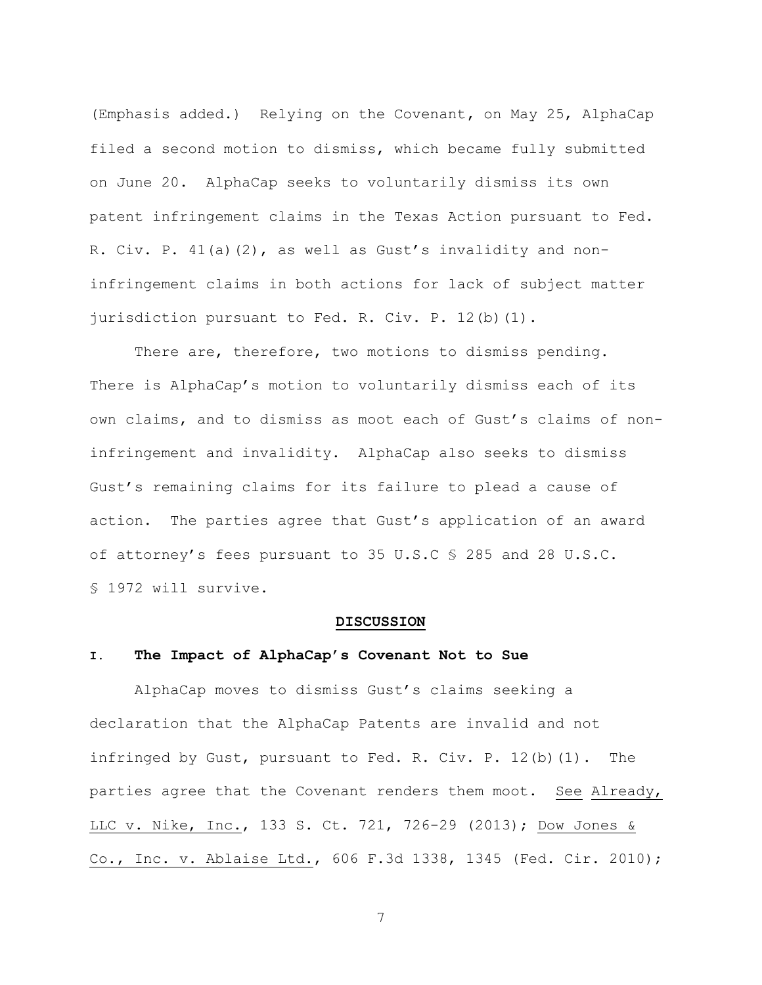(Emphasis added.)Relying on the Covenant**,** on May 25, AlphaCap filed a second motion to dismiss, which became fully submitted on June 20. AlphaCap seeks to voluntarily dismiss its own patent infringement claims in the Texas Action pursuant to Fed. R. Civ. P. 41(a)(2), as well as Gust's invalidity and noninfringement claims in both actions for lack of subject matter jurisdiction pursuant to Fed. R. Civ. P. 12(b)(1).

 There are, therefore, two motions to dismiss pending. There is AlphaCap's motion to voluntarily dismiss each of its own claims, and to dismiss as moot each of Gust's claims of noninfringement and invalidity. AlphaCap also seeks to dismiss Gust's remaining claims for its failure to plead a cause of action. The parties agree that Gust's application of an award of attorney's fees pursuant to 35 U.S.C § 285 and 28 U.S.C. § 1972 will survive.

#### **DISCUSSION**

#### **I. The Impact of AlphaCap's Covenant Not to Sue**

AlphaCap moves to dismiss Gust's claims seeking a declaration that the AlphaCap Patents are invalid and not infringed by Gust, pursuant to Fed. R. Civ. P. 12(b)(1). The parties agree that the Covenant renders them moot. See Already, LLC v. Nike, Inc., 133 S. Ct. 721, 726-29 (2013); Dow Jones & Co., Inc. v. Ablaise Ltd., 606 F.3d 1338, 1345 (Fed. Cir. 2010);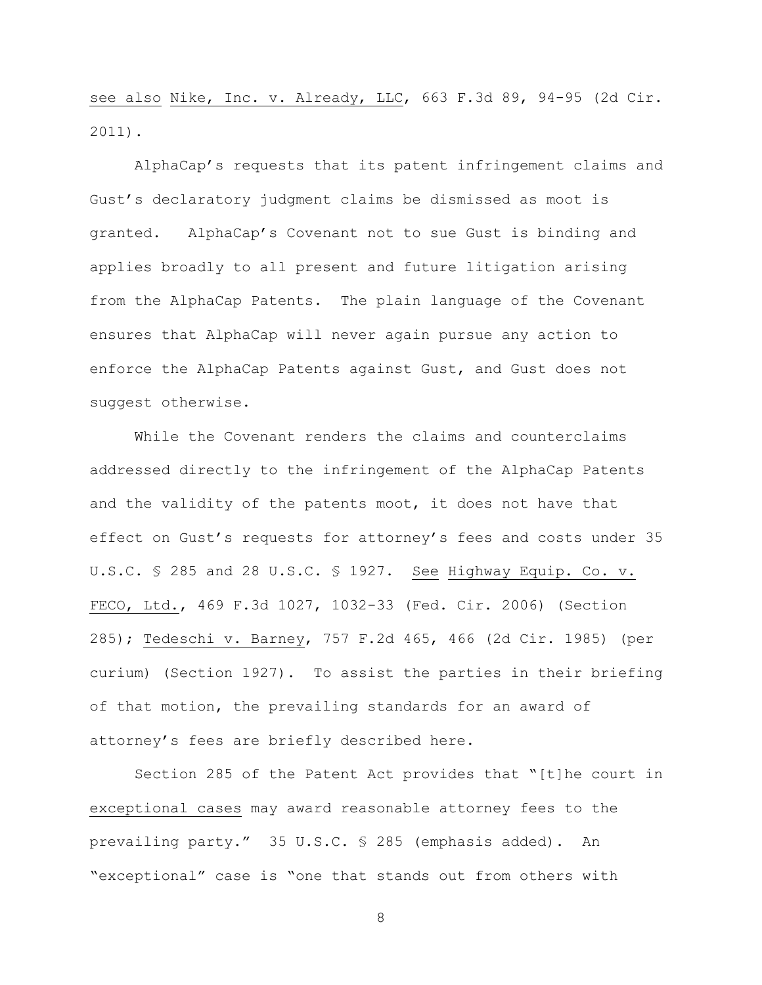see also Nike, Inc. v. Already, LLC, 663 F.3d 89, 94-95 (2d Cir. 2011).

AlphaCap's requests that its patent infringement claims and Gust's declaratory judgment claims be dismissed as moot is granted. AlphaCap's Covenant not to sue Gust is binding and applies broadly to all present and future litigation arising from the AlphaCap Patents. The plain language of the Covenant ensures that AlphaCap will never again pursue any action to enforce the AlphaCap Patents against Gust, and Gust does not suggest otherwise.

While the Covenant renders the claims and counterclaims addressed directly to the infringement of the AlphaCap Patents and the validity of the patents moot, it does not have that effect on Gust's requests for attorney's fees and costs under 35 U.S.C. § 285 and 28 U.S.C. § 1927. See Highway Equip. Co. v. FECO, Ltd., 469 F.3d 1027, 1032-33 (Fed. Cir. 2006) (Section 285); Tedeschi v. Barney, 757 F.2d 465, 466 (2d Cir. 1985) (per curium) (Section 1927). To assist the parties in their briefing of that motion, the prevailing standards for an award of attorney's fees are briefly described here.

Section 285 of the Patent Act provides that "[t]he court in exceptional cases may award reasonable attorney fees to the prevailing party." 35 U.S.C. § 285 (emphasis added). An "exceptional" case is "one that stands out from others with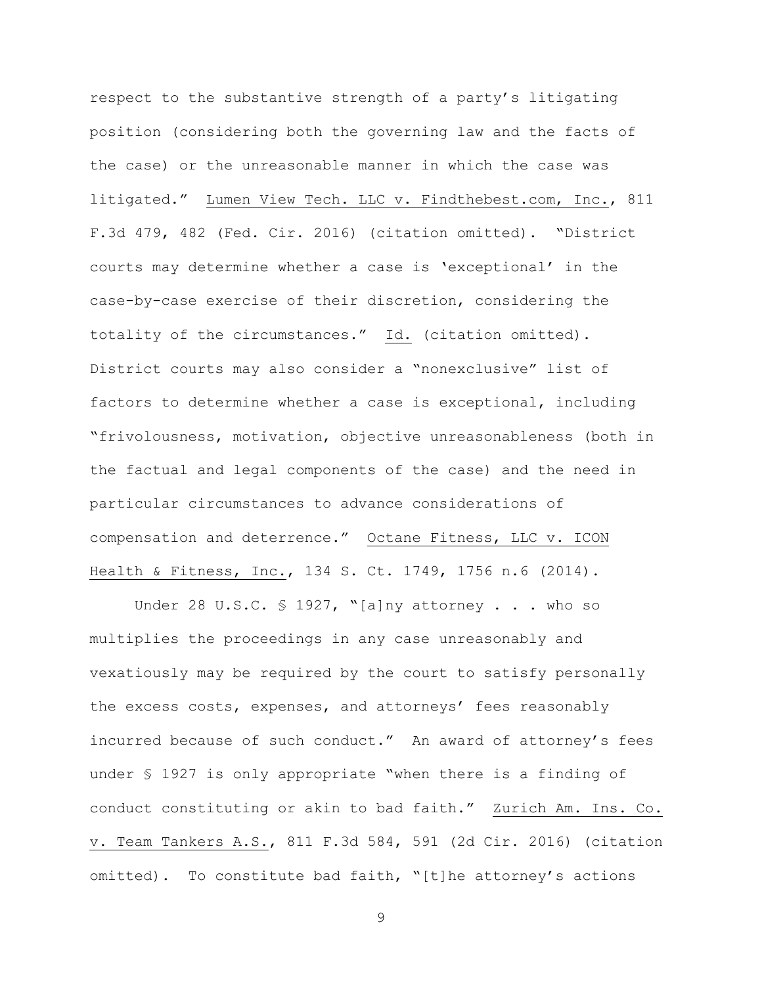respect to the substantive strength of a party's litigating position (considering both the governing law and the facts of the case) or the unreasonable manner in which the case was litigated." Lumen View Tech. LLC v. Findthebest.com, Inc., 811 F.3d 479, 482 (Fed. Cir. 2016) (citation omitted). "District courts may determine whether a case is 'exceptional' in the case-by-case exercise of their discretion, considering the totality of the circumstances." Id. (citation omitted). District courts may also consider a "nonexclusive" list of factors to determine whether a case is exceptional, including "frivolousness, motivation, objective unreasonableness (both in the factual and legal components of the case) and the need in particular circumstances to advance considerations of compensation and deterrence." Octane Fitness, LLC v. ICON Health & Fitness, Inc., 134 S. Ct. 1749, 1756 n.6 (2014).

Under 28 U.S.C.  $\frac{1927}{1927}$ , "[a]ny attorney . . . who so multiplies the proceedings in any case unreasonably and vexatiously may be required by the court to satisfy personally the excess costs, expenses, and attorneys' fees reasonably incurred because of such conduct." An award of attorney's fees under § 1927 is only appropriate "when there is a finding of conduct constituting or akin to bad faith." Zurich Am. Ins. Co. v. Team Tankers A.S., 811 F.3d 584, 591 (2d Cir. 2016) (citation omitted). To constitute bad faith, "[t]he attorney's actions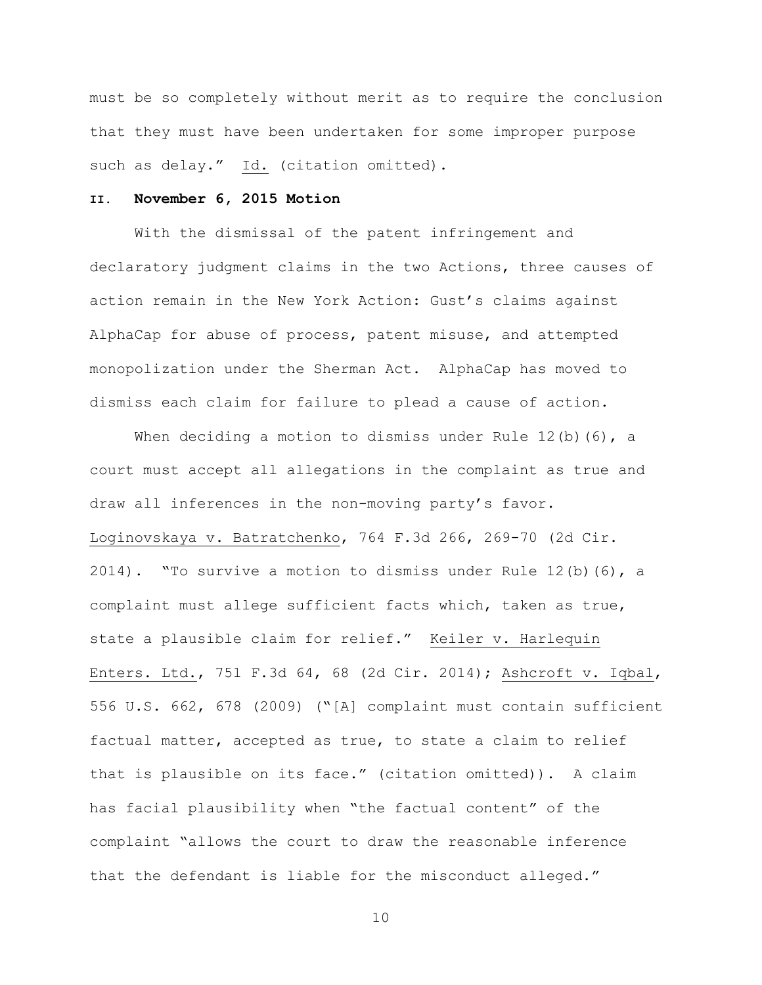must be so completely without merit as to require the conclusion that they must have been undertaken for some improper purpose such as delay." Id. (citation omitted).

## **II. November 6, 2015 Motion**

With the dismissal of the patent infringement and declaratory judgment claims in the two Actions, three causes of action remain in the New York Action: Gust's claims against AlphaCap for abuse of process, patent misuse, and attempted monopolization under the Sherman Act. AlphaCap has moved to dismiss each claim for failure to plead a cause of action.

When deciding a motion to dismiss under Rule  $12(b)(6)$ , a court must accept all allegations in the complaint as true and draw all inferences in the non-moving party's favor. Loginovskaya v. Batratchenko, 764 F.3d 266, 269-70 (2d Cir. 2014). "To survive a motion to dismiss under Rule 12(b)(6), a complaint must allege sufficient facts which, taken as true, state a plausible claim for relief." Keiler v. Harlequin Enters. Ltd., 751 F.3d 64, 68 (2d Cir. 2014); Ashcroft v. Iqbal, 556 U.S. 662, 678 (2009) ("[A] complaint must contain sufficient factual matter, accepted as true, to state a claim to relief that is plausible on its face." (citation omitted)). A claim has facial plausibility when "the factual content" of the complaint "allows the court to draw the reasonable inference that the defendant is liable for the misconduct alleged."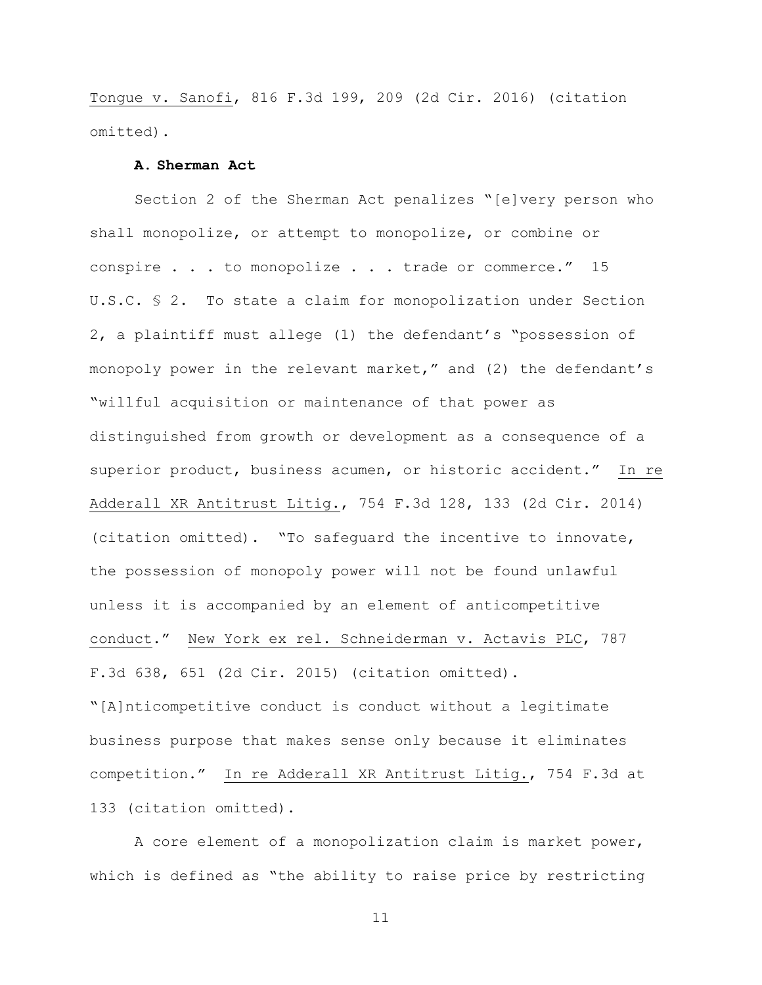Tongue v. Sanofi, 816 F.3d 199, 209 (2d Cir. 2016) (citation omitted).

## **A. Sherman Act**

Section 2 of the Sherman Act penalizes "[e]very person who shall monopolize, or attempt to monopolize, or combine or conspire . . . to monopolize . . . trade or commerce." 15 U.S.C. § 2. To state a claim for monopolization under Section 2, a plaintiff must allege (1) the defendant's "possession of monopoly power in the relevant market," and (2) the defendant's "willful acquisition or maintenance of that power as distinguished from growth or development as a consequence of a superior product, business acumen, or historic accident." In re Adderall XR Antitrust Litig., 754 F.3d 128, 133 (2d Cir. 2014) (citation omitted). "To safeguard the incentive to innovate, the possession of monopoly power will not be found unlawful unless it is accompanied by an element of anticompetitive conduct." New York ex rel. Schneiderman v. Actavis PLC, 787 F.3d 638, 651 (2d Cir. 2015) (citation omitted). "[A]nticompetitive conduct is conduct without a legitimate

business purpose that makes sense only because it eliminates competition." In re Adderall XR Antitrust Litig., 754 F.3d at 133 (citation omitted).

A core element of a monopolization claim is market power, which is defined as "the ability to raise price by restricting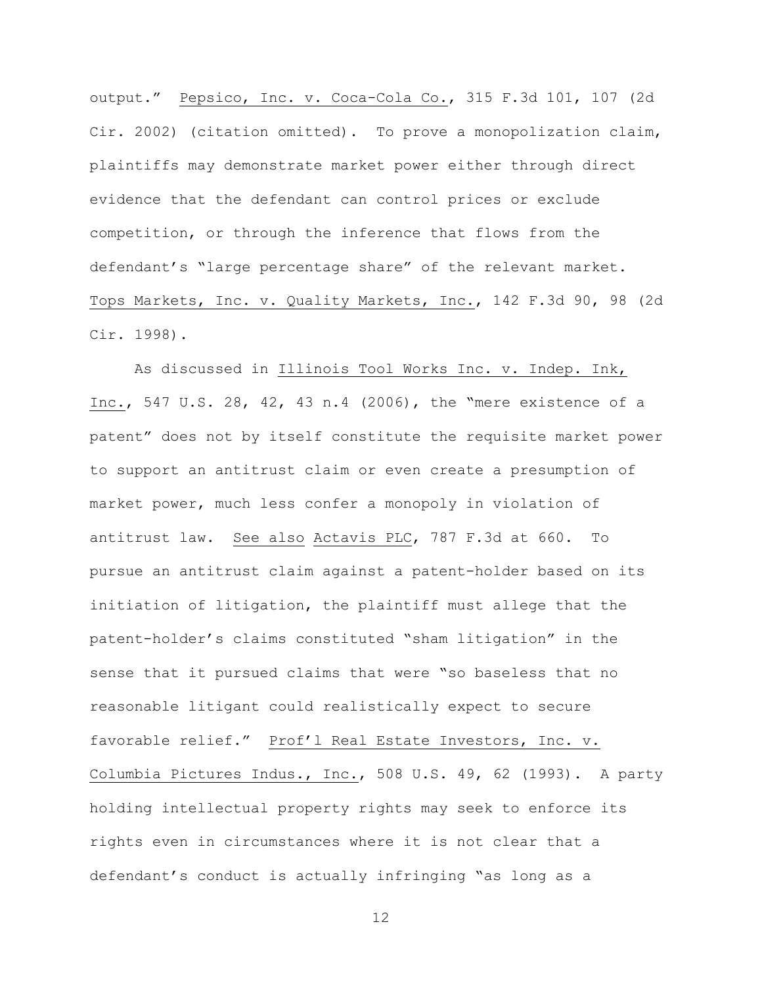output." Pepsico, Inc. v. Coca-Cola Co., 315 F.3d 101, 107 (2d Cir. 2002) (citation omitted). To prove a monopolization claim, plaintiffs may demonstrate market power either through direct evidence that the defendant can control prices or exclude competition, or through the inference that flows from the defendant's "large percentage share" of the relevant market. Tops Markets, Inc. v. Quality Markets, Inc., 142 F.3d 90, 98 (2d Cir. 1998).

As discussed in Illinois Tool Works Inc. v. Indep. Ink, Inc., 547 U.S. 28, 42, 43 n.4 (2006), the "mere existence of a patent" does not by itself constitute the requisite market power to support an antitrust claim or even create a presumption of market power, much less confer a monopoly in violation of antitrust law. See also Actavis PLC, 787 F.3d at 660. To pursue an antitrust claim against a patent-holder based on its initiation of litigation, the plaintiff must allege that the patent-holder's claims constituted "sham litigation" in the sense that it pursued claims that were "so baseless that no reasonable litigant could realistically expect to secure favorable relief." Prof'l Real Estate Investors, Inc. v. Columbia Pictures Indus., Inc., 508 U.S. 49, 62 (1993). A party holding intellectual property rights may seek to enforce its rights even in circumstances where it is not clear that a defendant's conduct is actually infringing "as long as a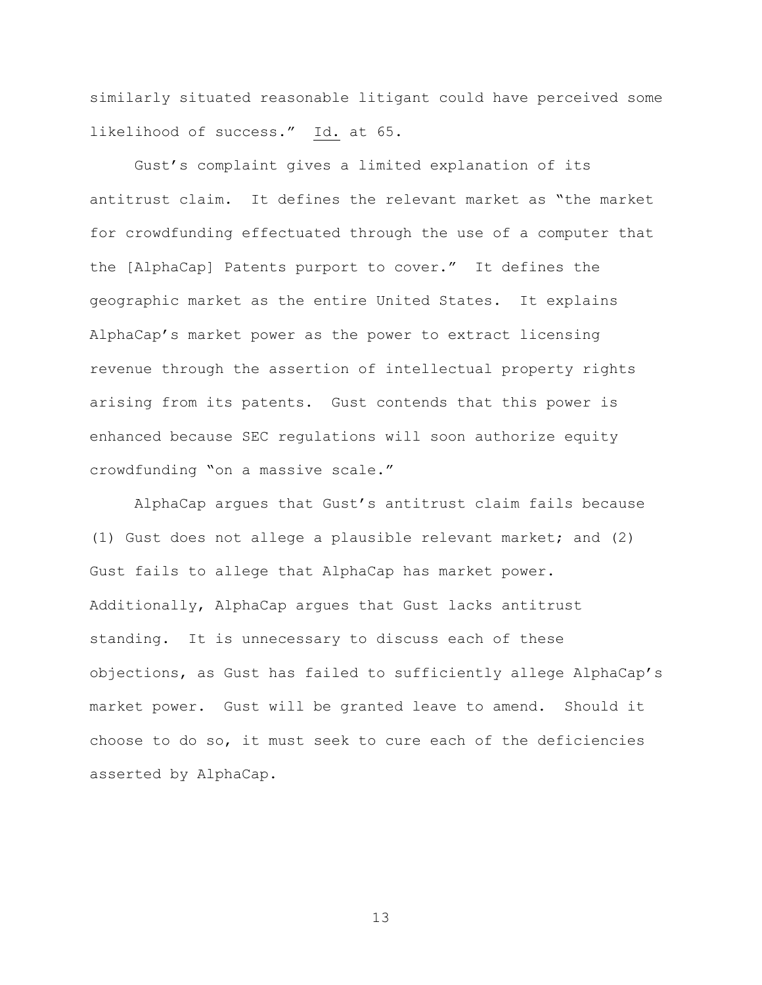similarly situated reasonable litigant could have perceived some likelihood of success." Id. at 65.

Gust's complaint gives a limited explanation of its antitrust claim. It defines the relevant market as "the market for crowdfunding effectuated through the use of a computer that the [AlphaCap] Patents purport to cover." It defines the geographic market as the entire United States. It explains AlphaCap's market power as the power to extract licensing revenue through the assertion of intellectual property rights arising from its patents. Gust contends that this power is enhanced because SEC regulations will soon authorize equity crowdfunding "on a massive scale."

AlphaCap argues that Gust's antitrust claim fails because (1) Gust does not allege a plausible relevant market; and (2) Gust fails to allege that AlphaCap has market power. Additionally, AlphaCap argues that Gust lacks antitrust standing. It is unnecessary to discuss each of these objections, as Gust has failed to sufficiently allege AlphaCap's market power. Gust will be granted leave to amend. Should it choose to do so, it must seek to cure each of the deficiencies asserted by AlphaCap.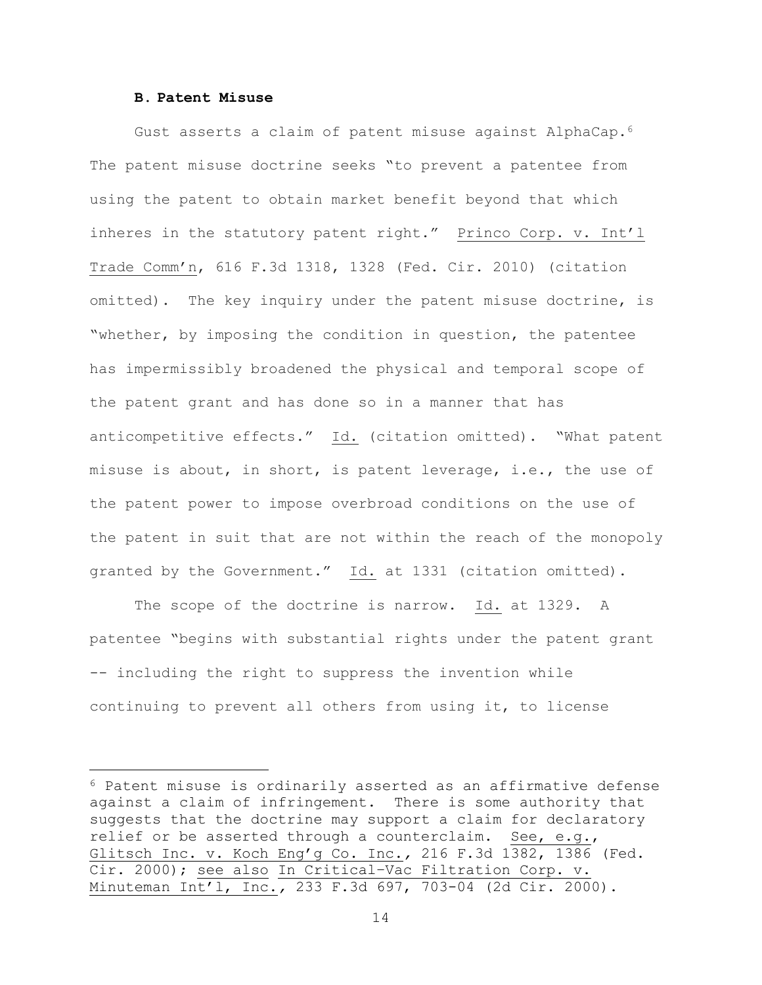#### **B. Patent Misuse**

 $\overline{a}$ 

Gust asserts a claim of patent misuse against AlphaCap.<sup>6</sup> The patent misuse doctrine seeks "to prevent a patentee from using the patent to obtain market benefit beyond that which inheres in the statutory patent right." Princo Corp. v. Int'l Trade Comm'n, 616 F.3d 1318, 1328 (Fed. Cir. 2010) (citation omitted). The key inquiry under the patent misuse doctrine, is "whether, by imposing the condition in question, the patentee has impermissibly broadened the physical and temporal scope of the patent grant and has done so in a manner that has anticompetitive effects." Id. (citation omitted). "What patent misuse is about, in short, is patent leverage, i.e., the use of the patent power to impose overbroad conditions on the use of the patent in suit that are not within the reach of the monopoly granted by the Government." Id. at 1331 (citation omitted).

The scope of the doctrine is narrow. Id. at 1329. A patentee "begins with substantial rights under the patent grant -- including the right to suppress the invention while continuing to prevent all others from using it, to license

<sup>6</sup> Patent misuse is ordinarily asserted as an affirmative defense against a claim of infringement. There is some authority that suggests that the doctrine may support a claim for declaratory relief or be asserted through a counterclaim. See, e.g., Glitsch Inc. v. Koch Eng'g Co. Inc.*,* 216 F.3d 1382, 1386 (Fed. Cir. 2000); see also In Critical–Vac Filtration Corp. v. Minuteman Int'l, Inc.*,* 233 F.3d 697, 703-04 (2d Cir. 2000).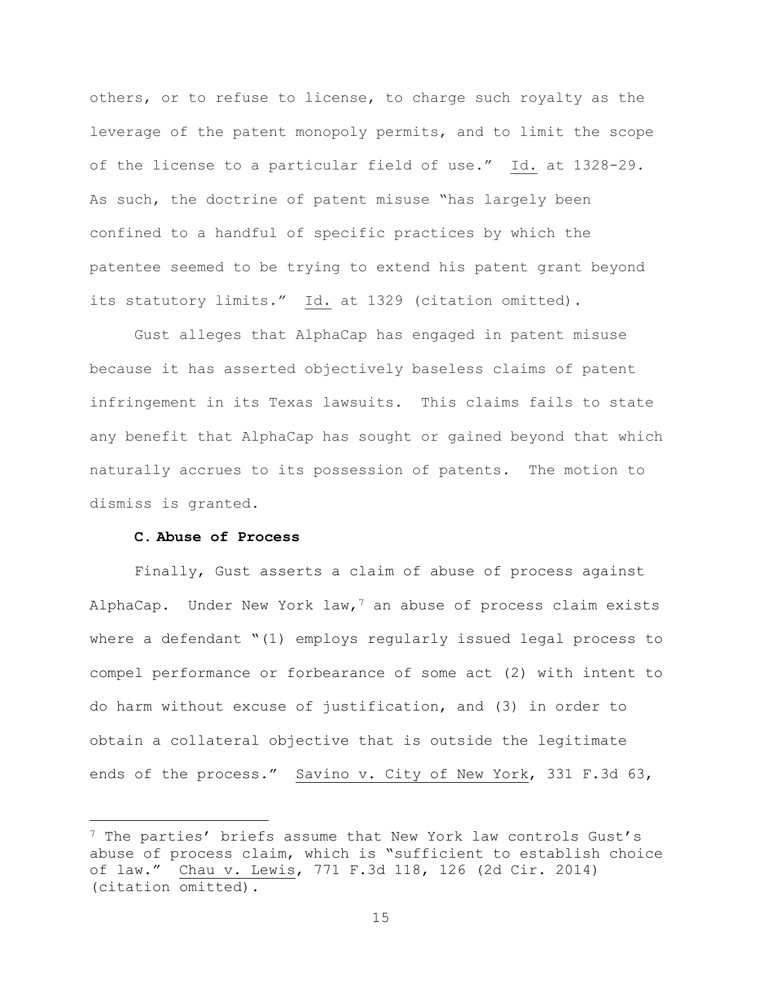others, or to refuse to license, to charge such royalty as the leverage of the patent monopoly permits, and to limit the scope of the license to a particular field of use." Id. at 1328-29. As such, the doctrine of patent misuse "has largely been confined to a handful of specific practices by which the patentee seemed to be trying to extend his patent grant beyond its statutory limits." Id. at 1329 (citation omitted).

Gust alleges that AlphaCap has engaged in patent misuse because it has asserted objectively baseless claims of patent infringement in its Texas lawsuits. This claims fails to state any benefit that AlphaCap has sought or gained beyond that which naturally accrues to its possession of patents. The motion to dismiss is granted.

## **C. Abuse of Process**

 $\overline{a}$ 

Finally, Gust asserts a claim of abuse of process against AlphaCap. Under New York law,<sup>7</sup> an abuse of process claim exists where a defendant "(1) employs regularly issued legal process to compel performance or forbearance of some act (2) with intent to do harm without excuse of justification, and (3) in order to obtain a collateral objective that is outside the legitimate ends of the process." Savino v. City of New York, 331 F.3d 63,

<sup>7</sup> The parties' briefs assume that New York law controls Gust's abuse of process claim, which is "sufficient to establish choice of law." Chau v. Lewis, 771 F.3d 118, 126 (2d Cir. 2014) (citation omitted).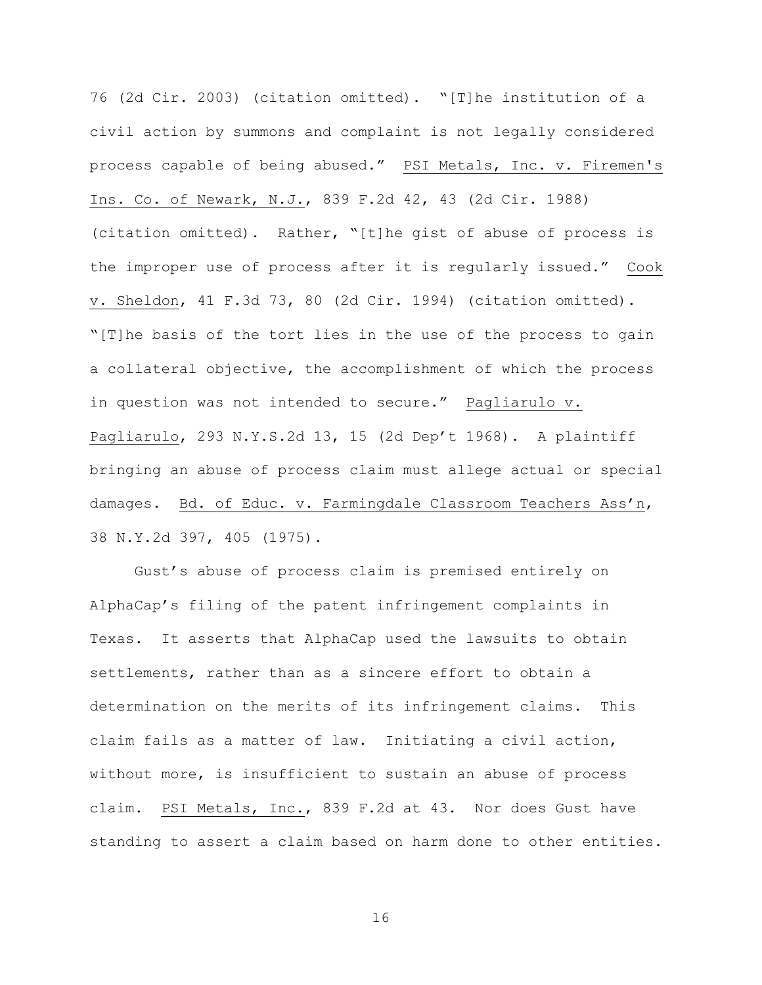76 (2d Cir. 2003) (citation omitted). "[T]he institution of a civil action by summons and complaint is not legally considered process capable of being abused." PSI Metals, Inc. v. Firemen's Ins. Co. of Newark, N.J., 839 F.2d 42, 43 (2d Cir. 1988) (citation omitted). Rather, "[t]he gist of abuse of process is the improper use of process after it is regularly issued." Cook v. Sheldon, 41 F.3d 73, 80 (2d Cir. 1994) (citation omitted). "[T]he basis of the tort lies in the use of the process to gain a collateral objective, the accomplishment of which the process in question was not intended to secure." Pagliarulo v. Pagliarulo, 293 N.Y.S.2d 13, 15 (2d Dep't 1968). A plaintiff bringing an abuse of process claim must allege actual or special damages. Bd. of Educ. v. Farmingdale Classroom Teachers Ass'n, 38 N.Y.2d 397, 405 (1975).

Gust's abuse of process claim is premised entirely on AlphaCap's filing of the patent infringement complaints in Texas. It asserts that AlphaCap used the lawsuits to obtain settlements, rather than as a sincere effort to obtain a determination on the merits of its infringement claims. This claim fails as a matter of law. Initiating a civil action, without more, is insufficient to sustain an abuse of process claim. PSI Metals, Inc., 839 F.2d at 43. Nor does Gust have standing to assert a claim based on harm done to other entities.